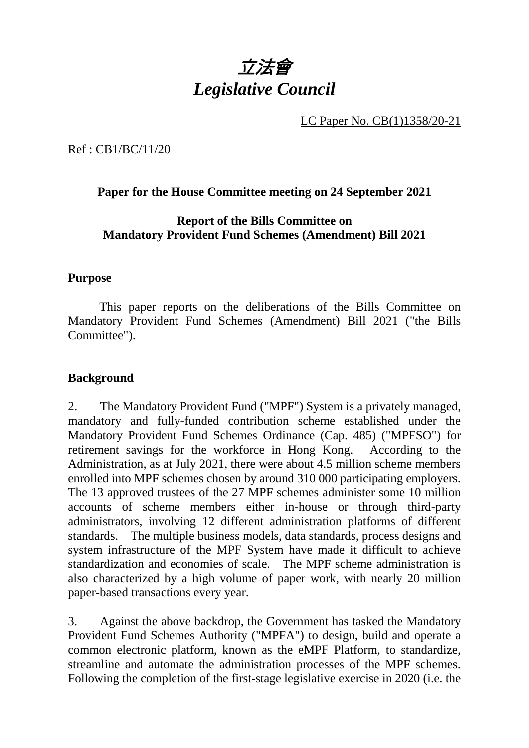

LC Paper No. CB(1)1358/20-21

Ref : CB1/BC/11/20

### **Paper for the House Committee meeting on 24 September 2021**

### **Report of the Bills Committee on Mandatory Provident Fund Schemes (Amendment) Bill 2021**

#### **Purpose**

This paper reports on the deliberations of the Bills Committee on Mandatory Provident Fund Schemes (Amendment) Bill 2021 ("the Bills Committee").

#### **Background**

2. The Mandatory Provident Fund ("MPF") System is a privately managed, mandatory and fully-funded contribution scheme established under the Mandatory Provident Fund Schemes Ordinance (Cap. 485) ("MPFSO") for retirement savings for the workforce in Hong Kong. According to the Administration, as at July 2021, there were about 4.5 million scheme members enrolled into MPF schemes chosen by around 310 000 participating employers. The 13 approved trustees of the 27 MPF schemes administer some 10 million accounts of scheme members either in-house or through third-party administrators, involving 12 different administration platforms of different standards. The multiple business models, data standards, process designs and system infrastructure of the MPF System have made it difficult to achieve standardization and economies of scale. The MPF scheme administration is also characterized by a high volume of paper work, with nearly 20 million paper-based transactions every year.

3. Against the above backdrop, the Government has tasked the Mandatory Provident Fund Schemes Authority ("MPFA") to design, build and operate a common electronic platform, known as the eMPF Platform, to standardize, streamline and automate the administration processes of the MPF schemes. Following the completion of the first-stage legislative exercise in 2020 (i.e. the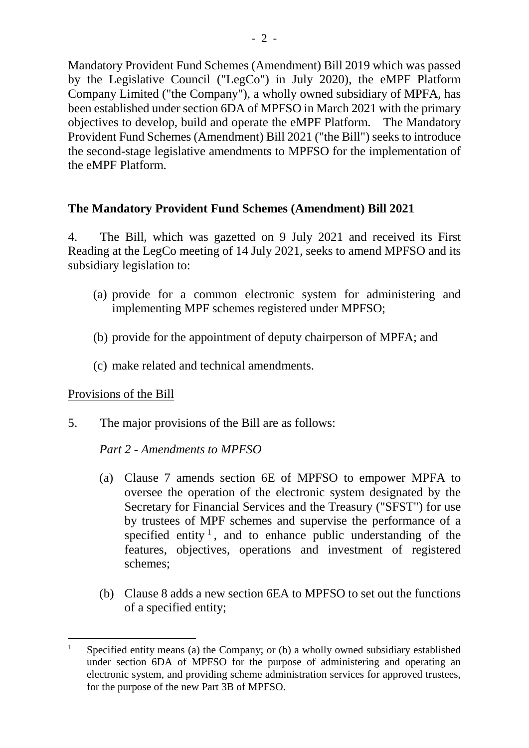Mandatory Provident Fund Schemes (Amendment) Bill 2019 which was passed by the Legislative Council ("LegCo") in July 2020), the eMPF Platform Company Limited ("the Company"), a wholly owned subsidiary of MPFA, has been established under section 6DA of MPFSO in March 2021 with the primary objectives to develop, build and operate the eMPF Platform. The Mandatory Provident Fund Schemes (Amendment) Bill 2021 ("the Bill") seeks to introduce the second-stage legislative amendments to MPFSO for the implementation of the eMPF Platform.

## **The Mandatory Provident Fund Schemes (Amendment) Bill 2021**

4. The Bill, which was gazetted on 9 July 2021 and received its First Reading at the LegCo meeting of 14 July 2021, seeks to amend MPFSO and its subsidiary legislation to:

- (a) provide for a common electronic system for administering and implementing MPF schemes registered under MPFSO;
- (b) provide for the appointment of deputy chairperson of MPFA; and
- (c) make related and technical amendments.

### Provisions of the Bill

5. The major provisions of the Bill are as follows:

### *Part 2 - Amendments to MPFSO*

- (a) Clause 7 amends section 6E of MPFSO to empower MPFA to oversee the operation of the electronic system designated by the Secretary for Financial Services and the Treasury ("SFST") for use by trustees of MPF schemes and supervise the performance of a specified entity<sup>[1](#page-1-0)</sup>, and to enhance public understanding of the features, objectives, operations and investment of registered schemes;
- (b) Clause 8 adds a new section 6EA to MPFSO to set out the functions of a specified entity;

<span id="page-1-0"></span><sup>&</sup>lt;sup>1</sup> Specified entity means (a) the Company; or (b) a wholly owned subsidiary established under section 6DA of MPFSO for the purpose of administering and operating an electronic system, and providing scheme administration services for approved trustees, for the purpose of the new Part 3B of MPFSO.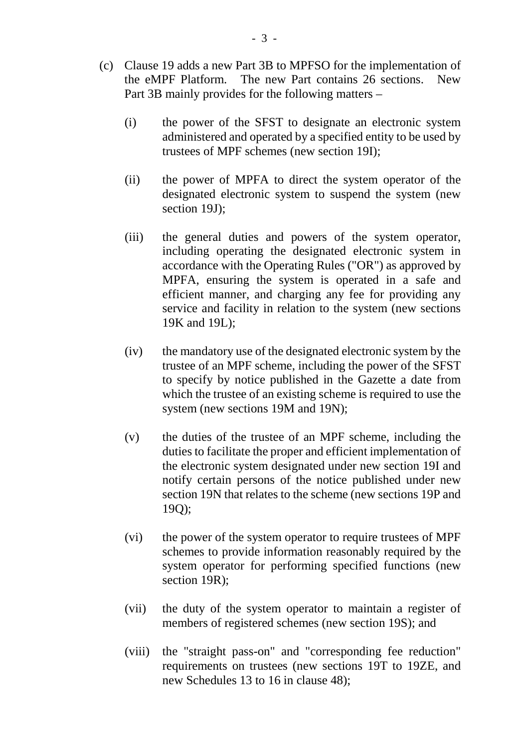- (c) Clause 19 adds a new Part 3B to MPFSO for the implementation of the eMPF Platform. The new Part contains 26 sections. New Part 3B mainly provides for the following matters –
	- (i) the power of the SFST to designate an electronic system administered and operated by a specified entity to be used by trustees of MPF schemes (new section 19I);
	- (ii) the power of MPFA to direct the system operator of the designated electronic system to suspend the system (new section 19J);
	- (iii) the general duties and powers of the system operator, including operating the designated electronic system in accordance with the Operating Rules ("OR") as approved by MPFA, ensuring the system is operated in a safe and efficient manner, and charging any fee for providing any service and facility in relation to the system (new sections 19K and 19L);
	- (iv) the mandatory use of the designated electronic system by the trustee of an MPF scheme, including the power of the SFST to specify by notice published in the Gazette a date from which the trustee of an existing scheme is required to use the system (new sections 19M and 19N);
	- (v) the duties of the trustee of an MPF scheme, including the duties to facilitate the proper and efficient implementation of the electronic system designated under new section 19I and notify certain persons of the notice published under new section 19N that relates to the scheme (new sections 19P and 19Q);
	- (vi) the power of the system operator to require trustees of MPF schemes to provide information reasonably required by the system operator for performing specified functions (new section 19R);
	- (vii) the duty of the system operator to maintain a register of members of registered schemes (new section 19S); and
	- (viii) the "straight pass-on" and "corresponding fee reduction" requirements on trustees (new sections 19T to 19ZE, and new Schedules 13 to 16 in clause 48);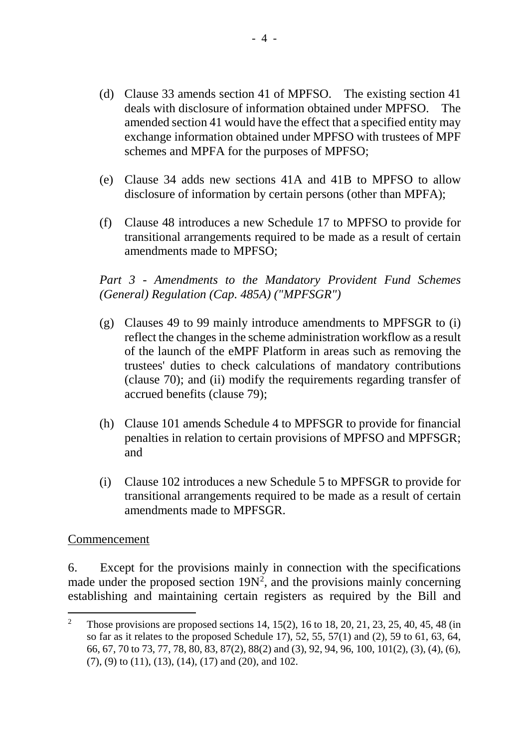- (d) Clause 33 amends section 41 of MPFSO. The existing section 41 deals with disclosure of information obtained under MPFSO. The amended section 41 would have the effect that a specified entity may exchange information obtained under MPFSO with trustees of MPF schemes and MPFA for the purposes of MPFSO;
- (e) Clause 34 adds new sections 41A and 41B to MPFSO to allow disclosure of information by certain persons (other than MPFA);
- (f) Clause 48 introduces a new Schedule 17 to MPFSO to provide for transitional arrangements required to be made as a result of certain amendments made to MPFSO;

# *Part 3 - Amendments to the Mandatory Provident Fund Schemes (General) Regulation (Cap. 485A) ("MPFSGR")*

- (g) Clauses 49 to 99 mainly introduce amendments to MPFSGR to (i) reflect the changes in the scheme administration workflow as a result of the launch of the eMPF Platform in areas such as removing the trustees' duties to check calculations of mandatory contributions (clause 70); and (ii) modify the requirements regarding transfer of accrued benefits (clause 79);
- (h) Clause 101 amends Schedule 4 to MPFSGR to provide for financial penalties in relation to certain provisions of MPFSO and MPFSGR; and
- (i) Clause 102 introduces a new Schedule 5 to MPFSGR to provide for transitional arrangements required to be made as a result of certain amendments made to MPFSGR.

### Commencement

6. Except for the provisions mainly in connection with the specifications made under the proposed section  $19N^2$  $19N^2$ , and the provisions mainly concerning establishing and maintaining certain registers as required by the Bill and

<span id="page-3-0"></span><sup>&</sup>lt;sup>2</sup> Those provisions are proposed sections 14, 15(2), 16 to 18, 20, 21, 23, 25, 40, 45, 48 (in so far as it relates to the proposed Schedule 17), 52, 55, 57(1) and (2), 59 to 61, 63, 64, 66, 67, 70 to 73, 77, 78, 80, 83, 87(2), 88(2) and (3), 92, 94, 96, 100, 101(2), (3), (4), (6), (7), (9) to (11), (13), (14), (17) and (20), and 102.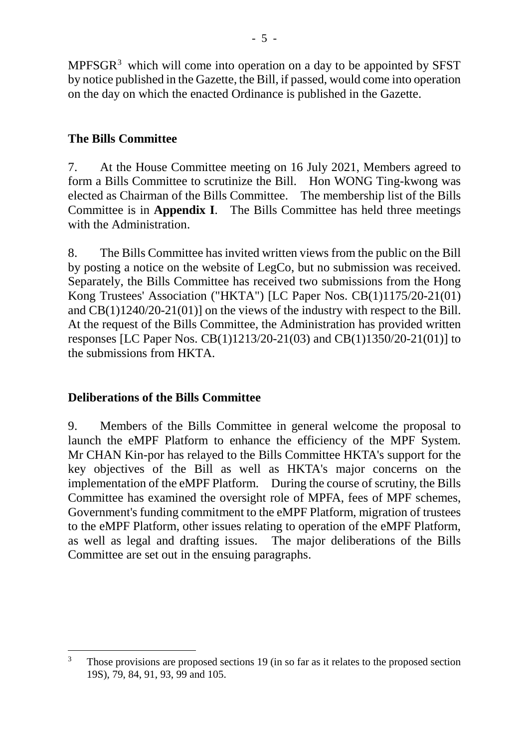MPFSGR[3](#page-4-0) which will come into operation on a day to be appointed by SFST by notice published in the Gazette, the Bill, if passed, would come into operation on the day on which the enacted Ordinance is published in the Gazette.

# **The Bills Committee**

7. At the House Committee meeting on 16 July 2021, Members agreed to form a Bills Committee to scrutinize the Bill. Hon WONG Ting-kwong was elected as Chairman of the Bills Committee. The membership list of the Bills Committee is in **Appendix I**. The Bills Committee has held three meetings with the Administration.

8. The Bills Committee has invited written views from the public on the Bill by posting a notice on the website of LegCo, but no submission was received. Separately, the Bills Committee has received two submissions from the Hong Kong Trustees' Association ("HKTA") [LC Paper Nos. CB(1)1175/20-21(01) and CB(1)1240/20-21(01)] on the views of the industry with respect to the Bill. At the request of the Bills Committee, the Administration has provided written responses [LC Paper Nos. CB(1)1213/20-21(03) and CB(1)1350/20-21(01)] to the submissions from HKTA.

# **Deliberations of the Bills Committee**

9. Members of the Bills Committee in general welcome the proposal to launch the eMPF Platform to enhance the efficiency of the MPF System. Mr CHAN Kin-por has relayed to the Bills Committee HKTA's support for the key objectives of the Bill as well as HKTA's major concerns on the implementation of the eMPF Platform. During the course of scrutiny, the Bills Committee has examined the oversight role of MPFA, fees of MPF schemes, Government's funding commitment to the eMPF Platform, migration of trustees to the eMPF Platform, other issues relating to operation of the eMPF Platform, as well as legal and drafting issues. The major deliberations of the Bills Committee are set out in the ensuing paragraphs.

<span id="page-4-0"></span> $3$  Those provisions are proposed sections 19 (in so far as it relates to the proposed section 19S), 79, 84, 91, 93, 99 and 105.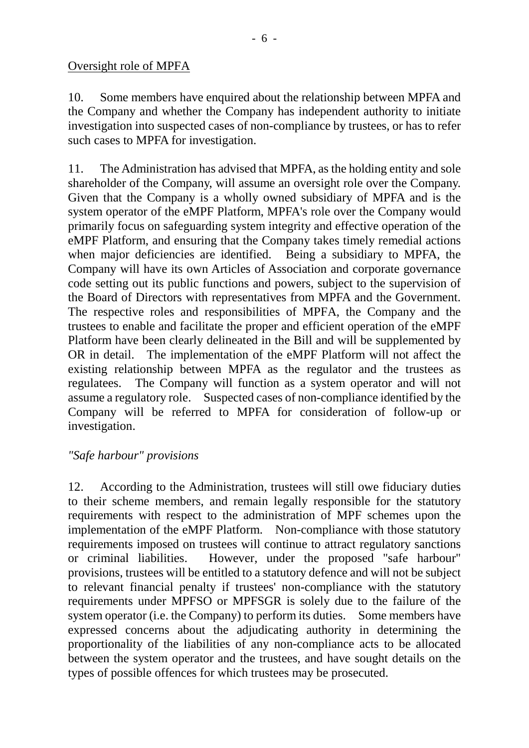### Oversight role of MPFA

10. Some members have enquired about the relationship between MPFA and the Company and whether the Company has independent authority to initiate investigation into suspected cases of non-compliance by trustees, or has to refer such cases to MPFA for investigation.

11. The Administration has advised that MPFA, as the holding entity and sole shareholder of the Company, will assume an oversight role over the Company. Given that the Company is a wholly owned subsidiary of MPFA and is the system operator of the eMPF Platform, MPFA's role over the Company would primarily focus on safeguarding system integrity and effective operation of the eMPF Platform, and ensuring that the Company takes timely remedial actions when major deficiencies are identified. Being a subsidiary to MPFA, the Company will have its own Articles of Association and corporate governance code setting out its public functions and powers, subject to the supervision of the Board of Directors with representatives from MPFA and the Government. The respective roles and responsibilities of MPFA, the Company and the trustees to enable and facilitate the proper and efficient operation of the eMPF Platform have been clearly delineated in the Bill and will be supplemented by OR in detail. The implementation of the eMPF Platform will not affect the existing relationship between MPFA as the regulator and the trustees as regulatees. The Company will function as a system operator and will not assume a regulatory role. Suspected cases of non-compliance identified by the Company will be referred to MPFA for consideration of follow-up or investigation.

# *"Safe harbour" provisions*

12. According to the Administration, trustees will still owe fiduciary duties to their scheme members, and remain legally responsible for the statutory requirements with respect to the administration of MPF schemes upon the implementation of the eMPF Platform. Non-compliance with those statutory requirements imposed on trustees will continue to attract regulatory sanctions or criminal liabilities. However, under the proposed "safe harbour" provisions, trustees will be entitled to a statutory defence and will not be subject to relevant financial penalty if trustees' non-compliance with the statutory requirements under MPFSO or MPFSGR is solely due to the failure of the system operator (i.e. the Company) to perform its duties. Some members have expressed concerns about the adjudicating authority in determining the proportionality of the liabilities of any non-compliance acts to be allocated between the system operator and the trustees, and have sought details on the types of possible offences for which trustees may be prosecuted.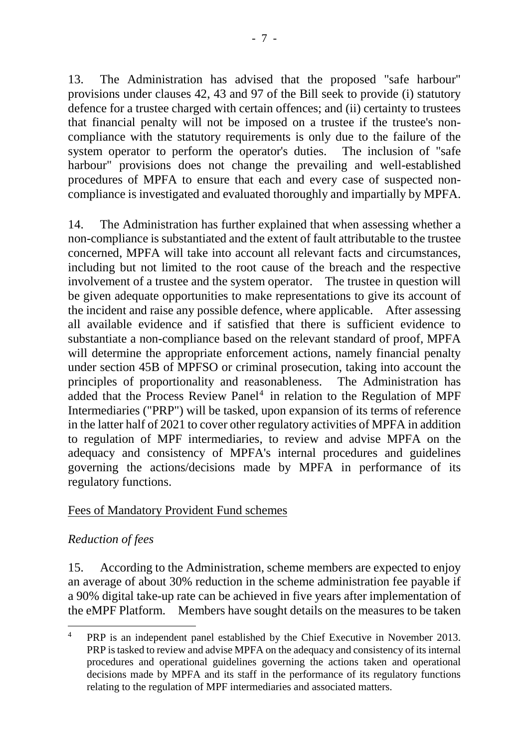13. The Administration has advised that the proposed "safe harbour" provisions under clauses 42, 43 and 97 of the Bill seek to provide (i) statutory defence for a trustee charged with certain offences; and (ii) certainty to trustees that financial penalty will not be imposed on a trustee if the trustee's noncompliance with the statutory requirements is only due to the failure of the system operator to perform the operator's duties. The inclusion of "safe harbour" provisions does not change the prevailing and well-established procedures of MPFA to ensure that each and every case of suspected noncompliance is investigated and evaluated thoroughly and impartially by MPFA.

14. The Administration has further explained that when assessing whether a non-compliance is substantiated and the extent of fault attributable to the trustee concerned, MPFA will take into account all relevant facts and circumstances, including but not limited to the root cause of the breach and the respective involvement of a trustee and the system operator. The trustee in question will be given adequate opportunities to make representations to give its account of the incident and raise any possible defence, where applicable. After assessing all available evidence and if satisfied that there is sufficient evidence to substantiate a non-compliance based on the relevant standard of proof, MPFA will determine the appropriate enforcement actions, namely financial penalty under section 45B of MPFSO or criminal prosecution, taking into account the principles of proportionality and reasonableness. The Administration has added that the Process Review Panel<sup>[4](#page-6-0)</sup> in relation to the Regulation of MPF Intermediaries ("PRP") will be tasked, upon expansion of its terms of reference in the latter half of 2021 to cover other regulatory activities of MPFA in addition to regulation of MPF intermediaries, to review and advise MPFA on the adequacy and consistency of MPFA's internal procedures and guidelines governing the actions/decisions made by MPFA in performance of its regulatory functions.

### Fees of Mandatory Provident Fund schemes

### *Reduction of fees*

15. According to the Administration, scheme members are expected to enjoy an average of about 30% reduction in the scheme administration fee payable if a 90% digital take-up rate can be achieved in five years after implementation of the eMPF Platform. Members have sought details on the measures to be taken

<span id="page-6-0"></span><sup>&</sup>lt;sup>4</sup> PRP is an independent panel established by the Chief Executive in November 2013. PRP is tasked to review and advise MPFA on the adequacy and consistency of its internal procedures and operational guidelines governing the actions taken and operational decisions made by MPFA and its staff in the performance of its regulatory functions relating to the regulation of MPF intermediaries and associated matters.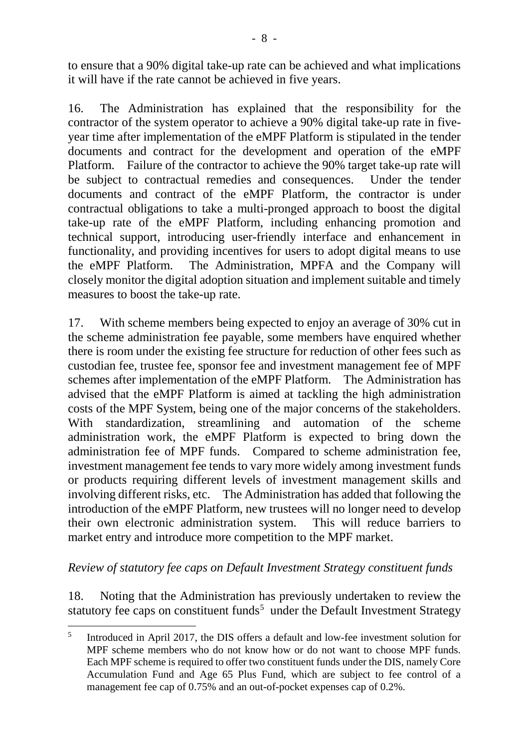to ensure that a 90% digital take-up rate can be achieved and what implications it will have if the rate cannot be achieved in five years.

16. The Administration has explained that the responsibility for the contractor of the system operator to achieve a 90% digital take-up rate in fiveyear time after implementation of the eMPF Platform is stipulated in the tender documents and contract for the development and operation of the eMPF Platform. Failure of the contractor to achieve the 90% target take-up rate will be subject to contractual remedies and consequences. Under the tender documents and contract of the eMPF Platform, the contractor is under contractual obligations to take a multi-pronged approach to boost the digital take-up rate of the eMPF Platform, including enhancing promotion and technical support, introducing user-friendly interface and enhancement in functionality, and providing incentives for users to adopt digital means to use the eMPF Platform. The Administration, MPFA and the Company will closely monitor the digital adoption situation and implement suitable and timely measures to boost the take-up rate.

17. With scheme members being expected to enjoy an average of 30% cut in the scheme administration fee payable, some members have enquired whether there is room under the existing fee structure for reduction of other fees such as custodian fee, trustee fee, sponsor fee and investment management fee of MPF schemes after implementation of the eMPF Platform. The Administration has advised that the eMPF Platform is aimed at tackling the high administration costs of the MPF System, being one of the major concerns of the stakeholders. With standardization, streamlining and automation of the scheme administration work, the eMPF Platform is expected to bring down the administration fee of MPF funds. Compared to scheme administration fee, investment management fee tends to vary more widely among investment funds or products requiring different levels of investment management skills and involving different risks, etc. The Administration has added that following the introduction of the eMPF Platform, new trustees will no longer need to develop their own electronic administration system. This will reduce barriers to market entry and introduce more competition to the MPF market.

### *Review of statutory fee caps on Default Investment Strategy constituent funds*

18. Noting that the Administration has previously undertaken to review the statutory fee caps on constituent funds<sup>[5](#page-7-0)</sup> under the Default Investment Strategy

<span id="page-7-0"></span><sup>&</sup>lt;sup>5</sup> Introduced in April 2017, the DIS offers a default and low-fee investment solution for MPF scheme members who do not know how or do not want to choose MPF funds. Each MPF scheme is required to offer two constituent funds under the DIS, namely Core Accumulation Fund and Age 65 Plus Fund, which are subject to fee control of a management fee cap of 0.75% and an out-of-pocket expenses cap of 0.2%.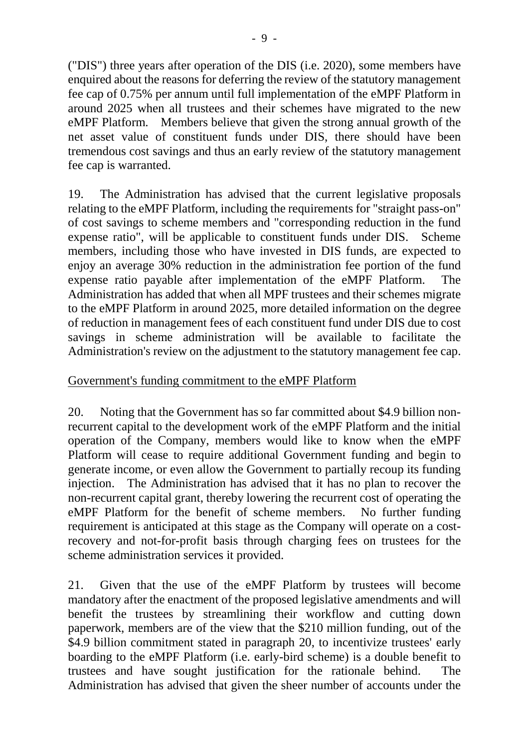("DIS") three years after operation of the DIS (i.e. 2020), some members have enquired about the reasons for deferring the review of the statutory management fee cap of 0.75% per annum until full implementation of the eMPF Platform in around 2025 when all trustees and their schemes have migrated to the new eMPF Platform. Members believe that given the strong annual growth of the net asset value of constituent funds under DIS, there should have been tremendous cost savings and thus an early review of the statutory management fee cap is warranted.

19. The Administration has advised that the current legislative proposals relating to the eMPF Platform, including the requirements for "straight pass-on" of cost savings to scheme members and "corresponding reduction in the fund expense ratio", will be applicable to constituent funds under DIS. Scheme members, including those who have invested in DIS funds, are expected to enjoy an average 30% reduction in the administration fee portion of the fund expense ratio payable after implementation of the eMPF Platform. The Administration has added that when all MPF trustees and their schemes migrate to the eMPF Platform in around 2025, more detailed information on the degree of reduction in management fees of each constituent fund under DIS due to cost savings in scheme administration will be available to facilitate the Administration's review on the adjustment to the statutory management fee cap.

# Government's funding commitment to the eMPF Platform

20. Noting that the Government has so far committed about \$4.9 billion nonrecurrent capital to the development work of the eMPF Platform and the initial operation of the Company, members would like to know when the eMPF Platform will cease to require additional Government funding and begin to generate income, or even allow the Government to partially recoup its funding injection. The Administration has advised that it has no plan to recover the non-recurrent capital grant, thereby lowering the recurrent cost of operating the eMPF Platform for the benefit of scheme members. No further funding requirement is anticipated at this stage as the Company will operate on a costrecovery and not-for-profit basis through charging fees on trustees for the scheme administration services it provided.

21. Given that the use of the eMPF Platform by trustees will become mandatory after the enactment of the proposed legislative amendments and will benefit the trustees by streamlining their workflow and cutting down paperwork, members are of the view that the \$210 million funding, out of the \$4.9 billion commitment stated in paragraph 20, to incentivize trustees' early boarding to the eMPF Platform (i.e. early-bird scheme) is a double benefit to trustees and have sought justification for the rationale behind. The Administration has advised that given the sheer number of accounts under the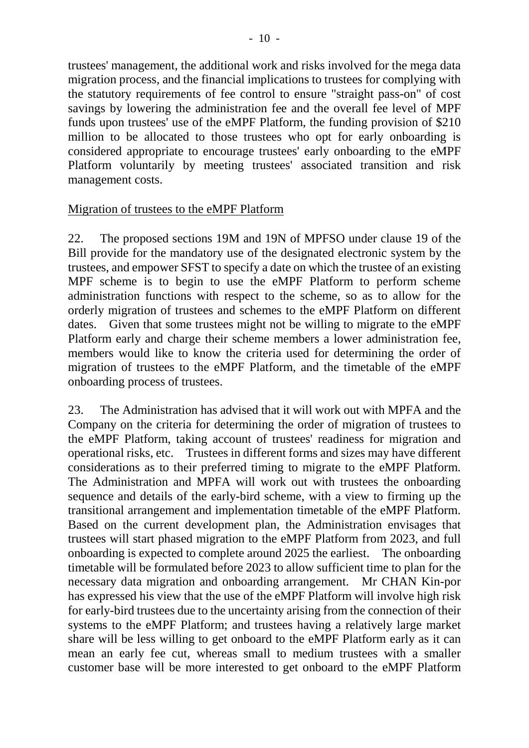trustees' management, the additional work and risks involved for the mega data migration process, and the financial implications to trustees for complying with the statutory requirements of fee control to ensure "straight pass-on" of cost savings by lowering the administration fee and the overall fee level of MPF funds upon trustees' use of the eMPF Platform, the funding provision of \$210 million to be allocated to those trustees who opt for early onboarding is considered appropriate to encourage trustees' early onboarding to the eMPF Platform voluntarily by meeting trustees' associated transition and risk management costs.

#### Migration of trustees to the eMPF Platform

22. The proposed sections 19M and 19N of MPFSO under clause 19 of the Bill provide for the mandatory use of the designated electronic system by the trustees, and empower SFST to specify a date on which the trustee of an existing MPF scheme is to begin to use the eMPF Platform to perform scheme administration functions with respect to the scheme, so as to allow for the orderly migration of trustees and schemes to the eMPF Platform on different dates. Given that some trustees might not be willing to migrate to the eMPF Platform early and charge their scheme members a lower administration fee, members would like to know the criteria used for determining the order of migration of trustees to the eMPF Platform, and the timetable of the eMPF onboarding process of trustees.

23. The Administration has advised that it will work out with MPFA and the Company on the criteria for determining the order of migration of trustees to the eMPF Platform, taking account of trustees' readiness for migration and operational risks, etc. Trustees in different forms and sizes may have different considerations as to their preferred timing to migrate to the eMPF Platform. The Administration and MPFA will work out with trustees the onboarding sequence and details of the early-bird scheme, with a view to firming up the transitional arrangement and implementation timetable of the eMPF Platform. Based on the current development plan, the Administration envisages that trustees will start phased migration to the eMPF Platform from 2023, and full onboarding is expected to complete around 2025 the earliest. The onboarding timetable will be formulated before 2023 to allow sufficient time to plan for the necessary data migration and onboarding arrangement. Mr CHAN Kin-por has expressed his view that the use of the eMPF Platform will involve high risk for early-bird trustees due to the uncertainty arising from the connection of their systems to the eMPF Platform; and trustees having a relatively large market share will be less willing to get onboard to the eMPF Platform early as it can mean an early fee cut, whereas small to medium trustees with a smaller customer base will be more interested to get onboard to the eMPF Platform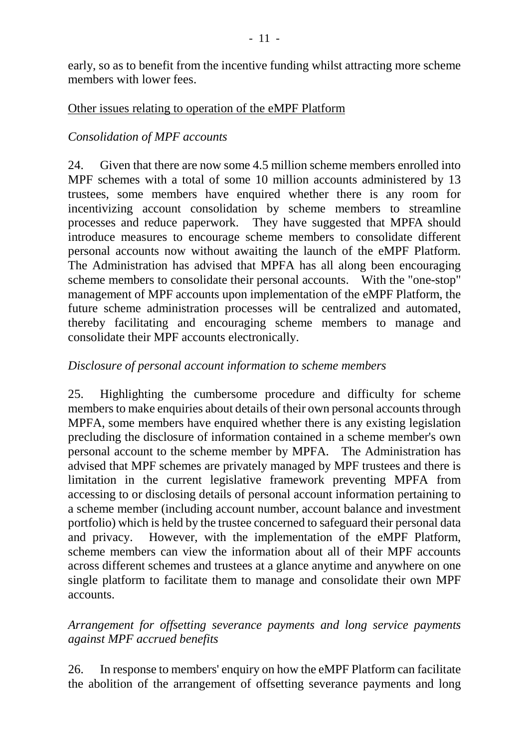early, so as to benefit from the incentive funding whilst attracting more scheme members with lower fees.

### Other issues relating to operation of the eMPF Platform

# *Consolidation of MPF accounts*

24. Given that there are now some 4.5 million scheme members enrolled into MPF schemes with a total of some 10 million accounts administered by 13 trustees, some members have enquired whether there is any room for incentivizing account consolidation by scheme members to streamline processes and reduce paperwork. They have suggested that MPFA should introduce measures to encourage scheme members to consolidate different personal accounts now without awaiting the launch of the eMPF Platform. The Administration has advised that MPFA has all along been encouraging scheme members to consolidate their personal accounts. With the "one-stop" management of MPF accounts upon implementation of the eMPF Platform, the future scheme administration processes will be centralized and automated, thereby facilitating and encouraging scheme members to manage and consolidate their MPF accounts electronically.

## *Disclosure of personal account information to scheme members*

25. Highlighting the cumbersome procedure and difficulty for scheme members to make enquiries about details of their own personal accounts through MPFA, some members have enquired whether there is any existing legislation precluding the disclosure of information contained in a scheme member's own personal account to the scheme member by MPFA. The Administration has advised that MPF schemes are privately managed by MPF trustees and there is limitation in the current legislative framework preventing MPFA from accessing to or disclosing details of personal account information pertaining to a scheme member (including account number, account balance and investment portfolio) which is held by the trustee concerned to safeguard their personal data and privacy. However, with the implementation of the eMPF Platform, scheme members can view the information about all of their MPF accounts across different schemes and trustees at a glance anytime and anywhere on one single platform to facilitate them to manage and consolidate their own MPF accounts.

# *Arrangement for offsetting severance payments and long service payments against MPF accrued benefits*

26. In response to members' enquiry on how the eMPF Platform can facilitate the abolition of the arrangement of offsetting severance payments and long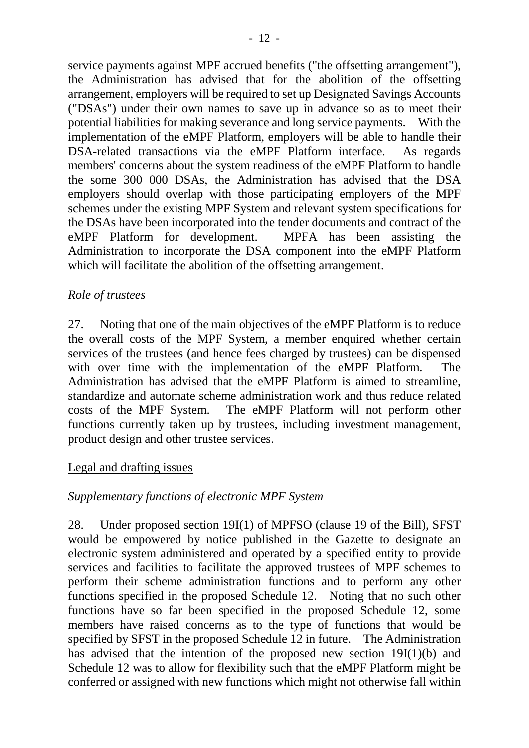service payments against MPF accrued benefits ("the offsetting arrangement"), the Administration has advised that for the abolition of the offsetting arrangement, employers will be required to set up Designated Savings Accounts ("DSAs") under their own names to save up in advance so as to meet their potential liabilities for making severance and long service payments. With the implementation of the eMPF Platform, employers will be able to handle their DSA-related transactions via the eMPF Platform interface. As regards members' concerns about the system readiness of the eMPF Platform to handle the some 300 000 DSAs, the Administration has advised that the DSA employers should overlap with those participating employers of the MPF schemes under the existing MPF System and relevant system specifications for the DSAs have been incorporated into the tender documents and contract of the eMPF Platform for development. MPFA has been assisting the Administration to incorporate the DSA component into the eMPF Platform which will facilitate the abolition of the offsetting arrangement.

## *Role of trustees*

27. Noting that one of the main objectives of the eMPF Platform is to reduce the overall costs of the MPF System, a member enquired whether certain services of the trustees (and hence fees charged by trustees) can be dispensed with over time with the implementation of the eMPF Platform. The Administration has advised that the eMPF Platform is aimed to streamline, standardize and automate scheme administration work and thus reduce related costs of the MPF System. The eMPF Platform will not perform other functions currently taken up by trustees, including investment management, product design and other trustee services.

### Legal and drafting issues

# *Supplementary functions of electronic MPF System*

28. Under proposed section 19I(1) of MPFSO (clause 19 of the Bill), SFST would be empowered by notice published in the Gazette to designate an electronic system administered and operated by a specified entity to provide services and facilities to facilitate the approved trustees of MPF schemes to perform their scheme administration functions and to perform any other functions specified in the proposed Schedule 12. Noting that no such other functions have so far been specified in the proposed Schedule 12, some members have raised concerns as to the type of functions that would be specified by SFST in the proposed Schedule 12 in future. The Administration has advised that the intention of the proposed new section 19I(1)(b) and Schedule 12 was to allow for flexibility such that the eMPF Platform might be conferred or assigned with new functions which might not otherwise fall within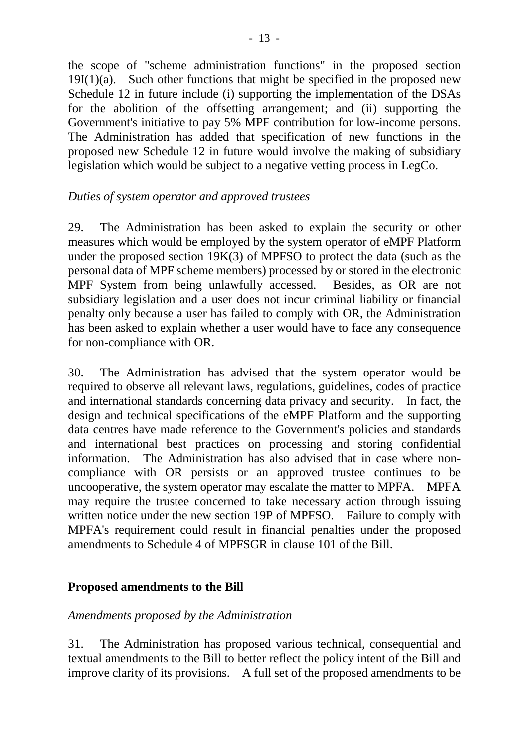the scope of "scheme administration functions" in the proposed section  $19I(1)(a)$ . Such other functions that might be specified in the proposed new Schedule 12 in future include (i) supporting the implementation of the DSAs for the abolition of the offsetting arrangement; and (ii) supporting the Government's initiative to pay 5% MPF contribution for low-income persons. The Administration has added that specification of new functions in the proposed new Schedule 12 in future would involve the making of subsidiary legislation which would be subject to a negative vetting process in LegCo.

# *Duties of system operator and approved trustees*

29. The Administration has been asked to explain the security or other measures which would be employed by the system operator of eMPF Platform under the proposed section 19K(3) of MPFSO to protect the data (such as the personal data of MPF scheme members) processed by or stored in the electronic MPF System from being unlawfully accessed. Besides, as OR are not subsidiary legislation and a user does not incur criminal liability or financial penalty only because a user has failed to comply with OR, the Administration has been asked to explain whether a user would have to face any consequence for non-compliance with OR.

30. The Administration has advised that the system operator would be required to observe all relevant laws, regulations, guidelines, codes of practice and international standards concerning data privacy and security. In fact, the design and technical specifications of the eMPF Platform and the supporting data centres have made reference to the Government's policies and standards and international best practices on processing and storing confidential information. The Administration has also advised that in case where noncompliance with OR persists or an approved trustee continues to be uncooperative, the system operator may escalate the matter to MPFA. MPFA may require the trustee concerned to take necessary action through issuing written notice under the new section 19P of MPFSO. Failure to comply with MPFA's requirement could result in financial penalties under the proposed amendments to Schedule 4 of MPFSGR in clause 101 of the Bill.

# **Proposed amendments to the Bill**

### *Amendments proposed by the Administration*

31. The Administration has proposed various technical, consequential and textual amendments to the Bill to better reflect the policy intent of the Bill and improve clarity of its provisions. A full set of the proposed amendments to be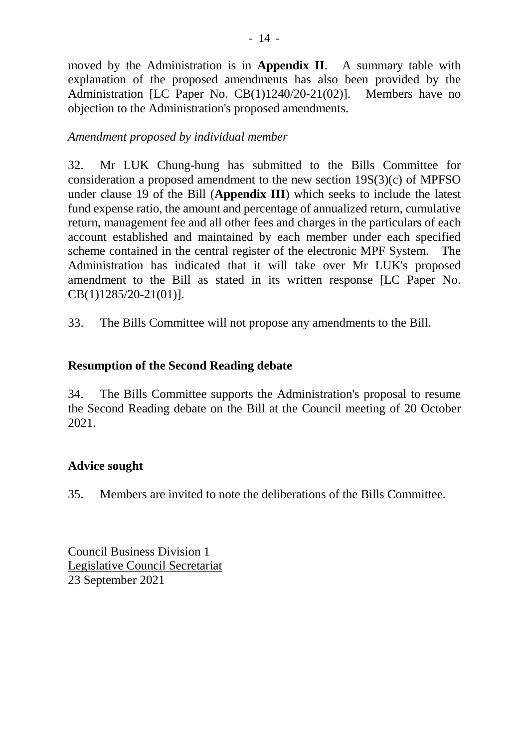moved by the Administration is in **Appendix II**. A summary table with explanation of the proposed amendments has also been provided by the Administration [LC Paper No. CB(1)1240/20-21(02)]. Members have no objection to the Administration's proposed amendments.

### *Amendment proposed by individual member*

32. Mr LUK Chung-hung has submitted to the Bills Committee for consideration a proposed amendment to the new section 19S(3)(c) of MPFSO under clause 19 of the Bill (**Appendix III**) which seeks to include the latest fund expense ratio, the amount and percentage of annualized return, cumulative return, management fee and all other fees and charges in the particulars of each account established and maintained by each member under each specified scheme contained in the central register of the electronic MPF System. The Administration has indicated that it will take over Mr LUK's proposed amendment to the Bill as stated in its written response [LC Paper No. CB(1)1285/20-21(01)].

33. The Bills Committee will not propose any amendments to the Bill.

# **Resumption of the Second Reading debate**

34. The Bills Committee supports the Administration's proposal to resume the Second Reading debate on the Bill at the Council meeting of 20 October 2021.

# **Advice sought**

35. Members are invited to note the deliberations of the Bills Committee.

Council Business Division 1 Legislative Council Secretariat 23 September 2021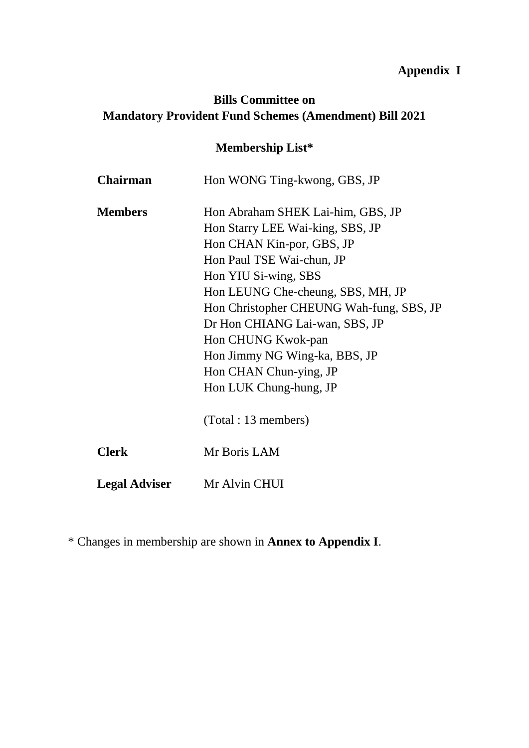# **Appendix I**

# **Bills Committee on Mandatory Provident Fund Schemes (Amendment) Bill 2021**

# **Membership List\***

| <b>Chairman</b>      | Hon WONG Ting-kwong, GBS, JP             |
|----------------------|------------------------------------------|
| <b>Members</b>       | Hon Abraham SHEK Lai-him, GBS, JP        |
|                      | Hon Starry LEE Wai-king, SBS, JP         |
|                      | Hon CHAN Kin-por, GBS, JP                |
|                      | Hon Paul TSE Wai-chun, JP                |
|                      | Hon YIU Si-wing, SBS                     |
|                      | Hon LEUNG Che-cheung, SBS, MH, JP        |
|                      | Hon Christopher CHEUNG Wah-fung, SBS, JP |
|                      | Dr Hon CHIANG Lai-wan, SBS, JP           |
|                      | Hon CHUNG Kwok-pan                       |
|                      | Hon Jimmy NG Wing-ka, BBS, JP            |
|                      | Hon CHAN Chun-ying, JP                   |
|                      | Hon LUK Chung-hung, JP                   |
|                      | (Total : 13 members)                     |
| <b>Clerk</b>         | Mr Boris LAM                             |
| <b>Legal Adviser</b> | Mr Alvin CHUI                            |

\* Changes in membership are shown in **Annex to Appendix I**.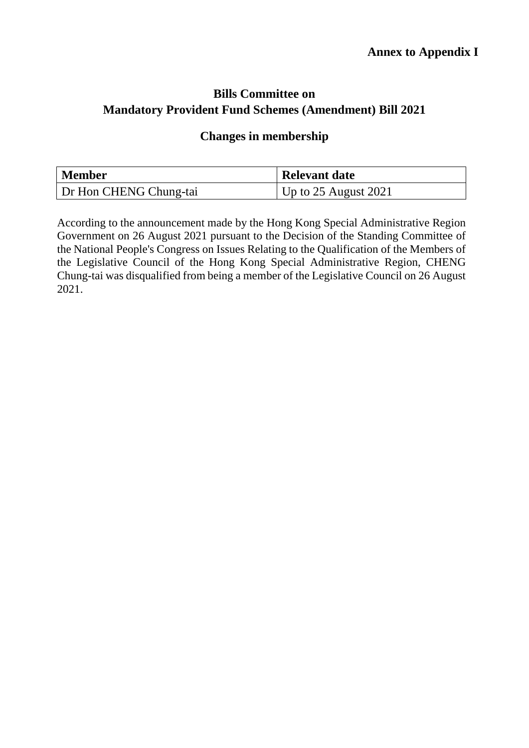# **Bills Committee on Mandatory Provident Fund Schemes (Amendment) Bill 2021**

## **Changes in membership**

| <b>Member</b>          | <b>Relevant date</b>     |
|------------------------|--------------------------|
| Dr Hon CHENG Chung-tai | Up to $25$ August $2021$ |

According to the announcement made by the Hong Kong Special Administrative Region Government on 26 August 2021 pursuant to the Decision of the Standing Committee of the National People's Congress on Issues Relating to the Qualification of the Members of the Legislative Council of the Hong Kong Special Administrative Region, CHENG Chung-tai was disqualified from being a member of the Legislative Council on 26 August 2021.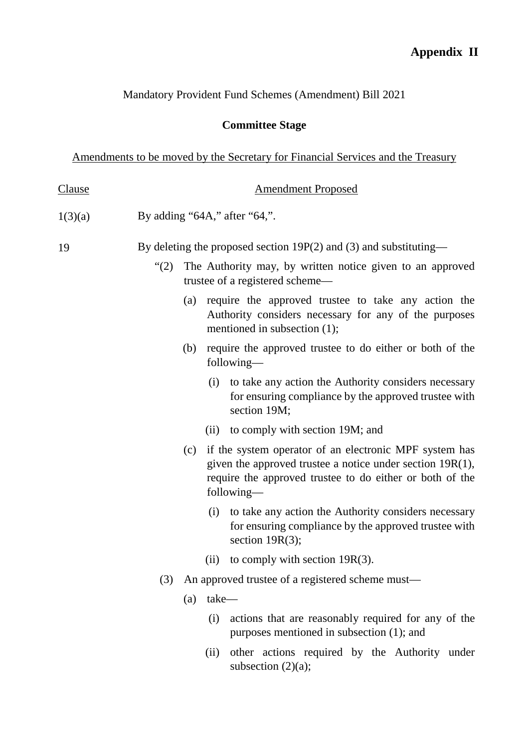# Mandatory Provident Fund Schemes (Amendment) Bill 2021

# **Committee Stage**

Amendments to be moved by the Secretary for Financial Services and the Treasury

| <b>Clause</b> |                                                                     | <b>Amendment Proposed</b> |                                                                                                                                                                                                  |  |  |
|---------------|---------------------------------------------------------------------|---------------------------|--------------------------------------------------------------------------------------------------------------------------------------------------------------------------------------------------|--|--|
| 1(3)(a)       | By adding " $64A$ ," after " $64$ ,".                               |                           |                                                                                                                                                                                                  |  |  |
| 19            | By deleting the proposed section $19P(2)$ and (3) and substituting— |                           |                                                                                                                                                                                                  |  |  |
|               | $\lq(2)$                                                            |                           | The Authority may, by written notice given to an approved<br>trustee of a registered scheme—                                                                                                     |  |  |
|               |                                                                     | (a)                       | require the approved trustee to take any action the<br>Authority considers necessary for any of the purposes<br>mentioned in subsection (1);                                                     |  |  |
|               |                                                                     | (b)                       | require the approved trustee to do either or both of the<br>following—                                                                                                                           |  |  |
|               |                                                                     |                           | (i)<br>to take any action the Authority considers necessary<br>for ensuring compliance by the approved trustee with<br>section 19M;                                                              |  |  |
|               |                                                                     |                           | to comply with section 19M; and<br>(ii)                                                                                                                                                          |  |  |
|               |                                                                     | (c)                       | if the system operator of an electronic MPF system has<br>given the approved trustee a notice under section $19R(1)$ ,<br>require the approved trustee to do either or both of the<br>following— |  |  |
|               |                                                                     |                           | (i)<br>to take any action the Authority considers necessary<br>for ensuring compliance by the approved trustee with<br>section $19R(3)$ ;                                                        |  |  |
|               |                                                                     |                           | to comply with section $19R(3)$ .<br>(ii)                                                                                                                                                        |  |  |
|               | (3)                                                                 |                           | An approved trustee of a registered scheme must—                                                                                                                                                 |  |  |
|               |                                                                     | (a)                       | take-                                                                                                                                                                                            |  |  |
|               |                                                                     |                           | actions that are reasonably required for any of the<br>(i)<br>purposes mentioned in subsection (1); and                                                                                          |  |  |
|               |                                                                     |                           | other actions required by the Authority under<br>(ii)<br>subsection $(2)(a)$ ;                                                                                                                   |  |  |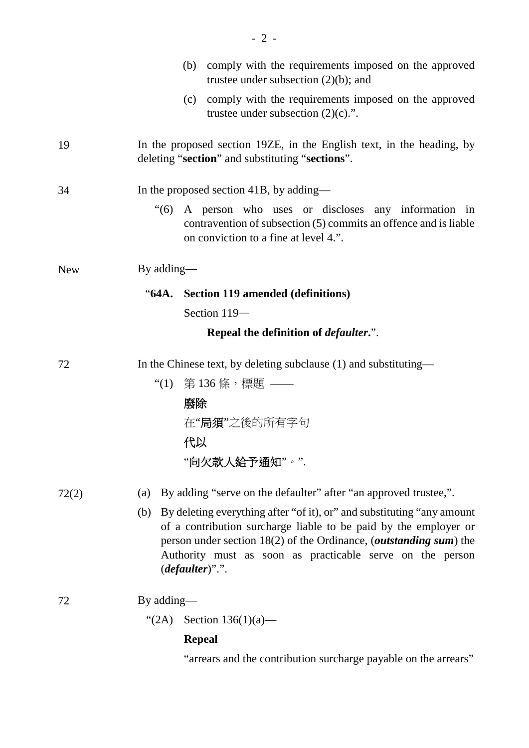|            | comply with the requirements imposed on the approved<br>(b)<br>trustee under subsection $(2)(b)$ ; and                                                                                                                                                                                                                |  |  |  |
|------------|-----------------------------------------------------------------------------------------------------------------------------------------------------------------------------------------------------------------------------------------------------------------------------------------------------------------------|--|--|--|
|            | (c) comply with the requirements imposed on the approved<br>trustee under subsection $(2)(c)$ .".                                                                                                                                                                                                                     |  |  |  |
| 19         | In the proposed section 19ZE, in the English text, in the heading, by<br>deleting "section" and substituting "sections".                                                                                                                                                                                              |  |  |  |
| 34         | In the proposed section 41B, by adding—                                                                                                                                                                                                                                                                               |  |  |  |
|            | $\cdot$ (6)<br>A person who uses or discloses any information in<br>contravention of subsection (5) commits an offence and is liable<br>on conviction to a fine at level 4.".                                                                                                                                         |  |  |  |
| <b>New</b> | By adding—                                                                                                                                                                                                                                                                                                            |  |  |  |
|            | "64A. Section 119 amended (definitions)                                                                                                                                                                                                                                                                               |  |  |  |
|            | Section 119-                                                                                                                                                                                                                                                                                                          |  |  |  |
|            | Repeal the definition of <i>defaulter.</i> ".                                                                                                                                                                                                                                                                         |  |  |  |
| 72         | In the Chinese text, by deleting subclause (1) and substituting—                                                                                                                                                                                                                                                      |  |  |  |
|            | "(1) 第 136 條,標題 ——                                                                                                                                                                                                                                                                                                    |  |  |  |
|            | 廢除                                                                                                                                                                                                                                                                                                                    |  |  |  |
|            | 在"局須"之後的所有字句                                                                                                                                                                                                                                                                                                          |  |  |  |
|            | 代以                                                                                                                                                                                                                                                                                                                    |  |  |  |
|            | "向欠款人給予通知"。".                                                                                                                                                                                                                                                                                                         |  |  |  |
| 72(2)      | By adding "serve on the defaulter" after "an approved trustee,".<br>(a)                                                                                                                                                                                                                                               |  |  |  |
|            | By deleting everything after "of it), or" and substituting "any amount<br>(b)<br>of a contribution surcharge liable to be paid by the employer or<br>person under section $18(2)$ of the Ordinance, ( <i>outstanding sum</i> ) the<br>Authority must as soon as practicable serve on the person<br>$(defaulter)$ ".". |  |  |  |
| 72         | By adding—                                                                                                                                                                                                                                                                                                            |  |  |  |
|            | "(2A) Section $136(1)(a)$ —                                                                                                                                                                                                                                                                                           |  |  |  |
|            | <b>Repeal</b>                                                                                                                                                                                                                                                                                                         |  |  |  |
|            | "arrears and the contribution surcharge payable on the arrears"                                                                                                                                                                                                                                                       |  |  |  |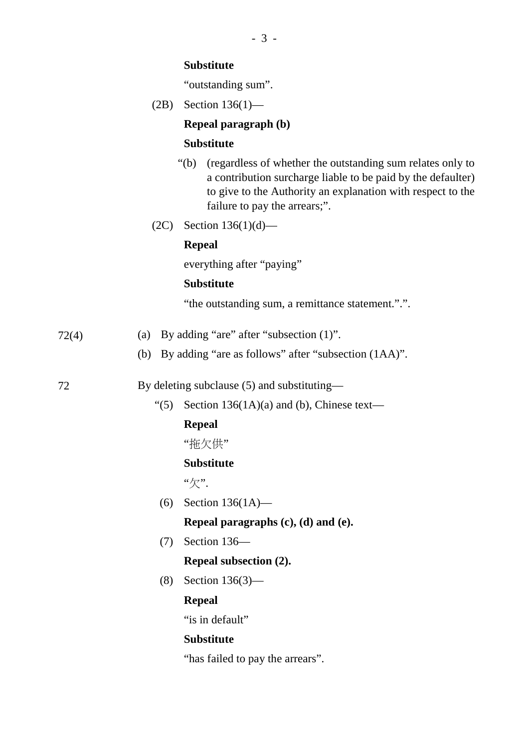#### **Substitute**

"outstanding sum".

(2B) Section 136(1)—

#### **Repeal paragraph (b)**

#### **Substitute**

- "(b) (regardless of whether the outstanding sum relates only to a contribution surcharge liable to be paid by the defaulter) to give to the Authority an explanation with respect to the failure to pay the arrears;".
- (2C) Section 136(1)(d)—

#### **Repeal**

everything after "paying"

#### **Substitute**

"the outstanding sum, a remittance statement.".".

$$
72(4) \t(a) By adding "are" after "subsection (1)".
$$

(b) By adding "are as follows" after "subsection (1AA)".

72 By deleting subclause (5) and substituting—

"(5) Section  $136(1A)(a)$  and (b), Chinese text—

#### **Repeal**

"拖欠供"

#### **Substitute**

"欠".

- (6) Section 136(1A)— **Repeal paragraphs (c), (d) and (e).**
- (7) Section 136—

#### **Repeal subsection (2).**

(8) Section 136(3)—

#### **Repeal**

"is in default"

#### **Substitute**

"has failed to pay the arrears".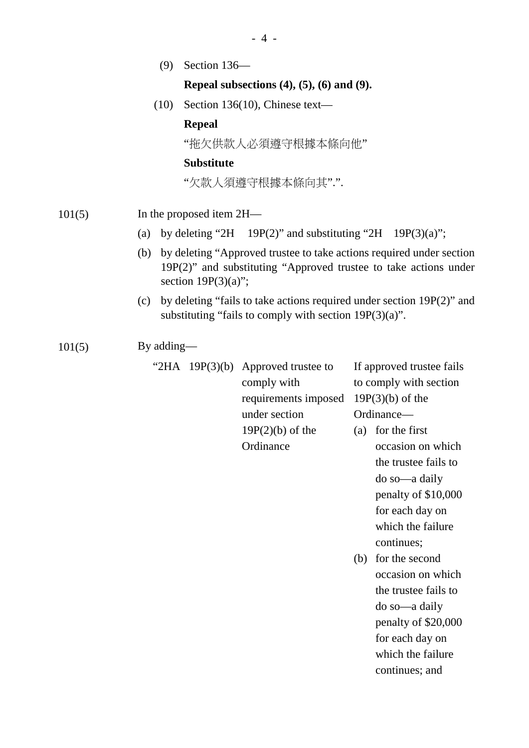(9) Section 136—

#### **Repeal subsections (4), (5), (6) and (9).**

(10) Section 136(10), Chinese text—

#### **Repeal**

"拖欠供款人必須遵守根據本條向他"

#### **Substitute**

"欠款人須遵守根據本條向其".".

- 101(5) In the proposed item 2H—
	- (a) by deleting "2H 19P(2)" and substituting "2H 19P(3)(a)";
	- (b) by deleting "Approved trustee to take actions required under section 19P(2)" and substituting "Approved trustee to take actions under section  $19P(3)(a)$ ";
	- (c) by deleting "fails to take actions required under section 19P(2)" and substituting "fails to comply with section 19P(3)(a)".

 $101(5)$  By adding—

|  | "2HA $19P(3)(b)$ Approved trustee to | If approv    |
|--|--------------------------------------|--------------|
|  | comply with                          | to compl     |
|  | requirements imposed $19P(3)(b)$     |              |
|  | under section                        | Ordinanc     |
|  | $19P(2)(b)$ of the                   | for t<br>(a) |
|  | Ordinance                            | occa         |

- red trustee fails y with section  $\alpha$ ) of the  $e$ he first
	- sion on which the trustee fails to do so—a daily penalty of \$10,000 for each day on which the failure continues;
- (b) for the second occasion on which the trustee fails to do so—a daily penalty of \$20,000 for each day on which the failure continues; and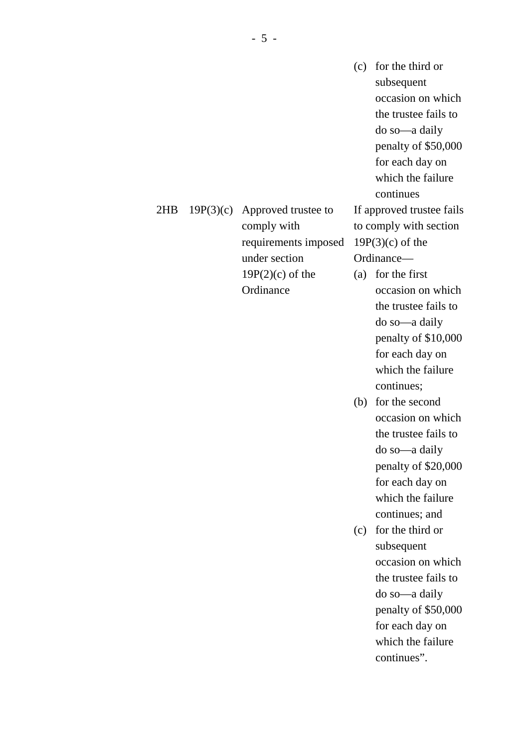(c) for the third or subsequent occasion on which the trustee fails to do so—a daily penalty of \$50,000 for each day on which the failure continues If approved trustee fails

to comply with section  $19P(3)(c)$  of the Ordinance—

- (a) for the first occasion on which the trustee fails to do so—a daily penalty of \$10,000 for each day on which the failure continues;
- (b) for the second occasion on which the trustee fails to do so—a daily penalty of \$20,000 for each day on which the failure continues; and
- (c) for the third or subsequent occasion on which the trustee fails to do so—a daily penalty of \$50,000 for each day on which the failure continues".

# 2HB 19P(3)(c) Approved trustee to comply with requirements imposed under section 19P(2)(c) of the

**Ordinance**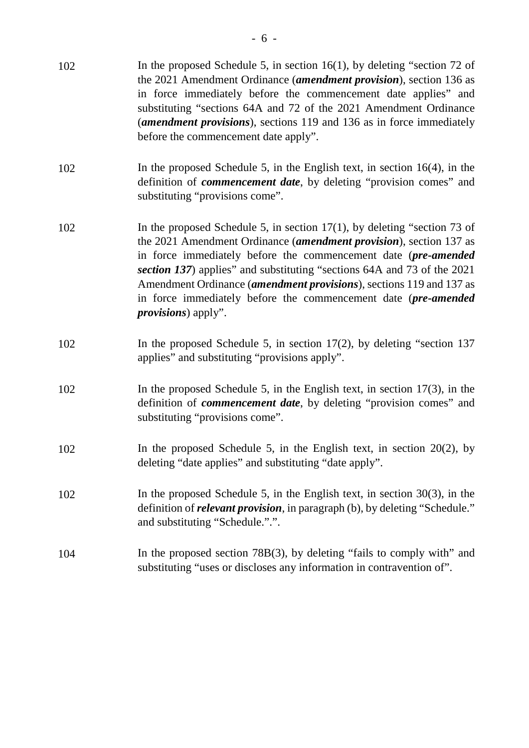| 102 | In the proposed Schedule 5, in section $16(1)$ , by deleting "section 72 of<br>the 2021 Amendment Ordinance (amendment provision), section 136 as<br>in force immediately before the commencement date applies" and<br>substituting "sections 64A and 72 of the 2021 Amendment Ordinance<br>(amendment provisions), sections 119 and 136 as in force immediately<br>before the commencement date apply".                                                                                 |
|-----|------------------------------------------------------------------------------------------------------------------------------------------------------------------------------------------------------------------------------------------------------------------------------------------------------------------------------------------------------------------------------------------------------------------------------------------------------------------------------------------|
| 102 | In the proposed Schedule 5, in the English text, in section $16(4)$ , in the<br>definition of <i>commencement date</i> , by deleting "provision comes" and<br>substituting "provisions come".                                                                                                                                                                                                                                                                                            |
| 102 | In the proposed Schedule 5, in section $17(1)$ , by deleting "section 73 of<br>the 2021 Amendment Ordinance ( <i>amendment provision</i> ), section 137 as<br>in force immediately before the commencement date (pre-amended<br>section 137) applies" and substituting "sections 64A and 73 of the 2021<br>Amendment Ordinance ( <i>amendment provisions</i> ), sections 119 and 137 as<br>in force immediately before the commencement date (pre-amended<br><i>provisions</i> ) apply". |
| 102 | In the proposed Schedule 5, in section $17(2)$ , by deleting "section 137<br>applies" and substituting "provisions apply".                                                                                                                                                                                                                                                                                                                                                               |
| 102 | In the proposed Schedule 5, in the English text, in section $17(3)$ , in the<br>definition of <i>commencement date</i> , by deleting "provision comes" and<br>substituting "provisions come".                                                                                                                                                                                                                                                                                            |
| 102 | In the proposed Schedule 5, in the English text, in section $20(2)$ , by<br>deleting "date applies" and substituting "date apply".                                                                                                                                                                                                                                                                                                                                                       |
| 102 | In the proposed Schedule 5, in the English text, in section $30(3)$ , in the<br>definition of <i>relevant provision</i> , in paragraph (b), by deleting "Schedule."<br>and substituting "Schedule.".".                                                                                                                                                                                                                                                                                   |
| 104 | In the proposed section 78B(3), by deleting "fails to comply with" and<br>substituting "uses or discloses any information in contravention of".                                                                                                                                                                                                                                                                                                                                          |